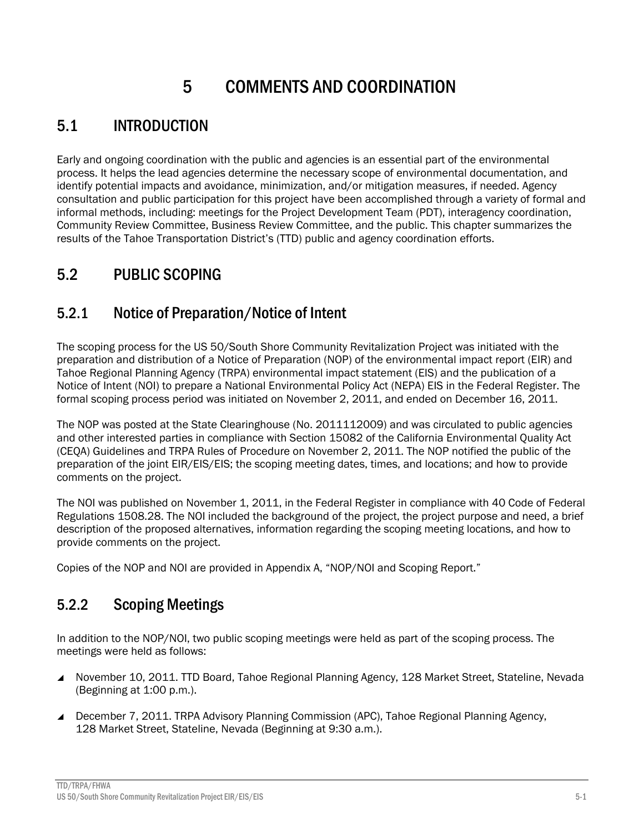# 5 COMMENTS AND COORDINATION

### 5.1 INTRODUCTION

Early and ongoing coordination with the public and agencies is an essential part of the environmental process. It helps the lead agencies determine the necessary scope of environmental documentation, and identify potential impacts and avoidance, minimization, and/or mitigation measures, if needed. Agency consultation and public participation for this project have been accomplished through a variety of formal and informal methods, including: meetings for the Project Development Team (PDT), interagency coordination, Community Review Committee, Business Review Committee, and the public. This chapter summarizes the results of the Tahoe Transportation District's (TTD) public and agency coordination efforts.

### 5.2 PUBLIC SCOPING

#### 5.2.1 Notice of Preparation/Notice of Intent

The scoping process for the US 50/South Shore Community Revitalization Project was initiated with the preparation and distribution of a Notice of Preparation (NOP) of the environmental impact report (EIR) and Tahoe Regional Planning Agency (TRPA) environmental impact statement (EIS) and the publication of a Notice of Intent (NOI) to prepare a National Environmental Policy Act (NEPA) EIS in the Federal Register. The formal scoping process period was initiated on November 2, 2011, and ended on December 16, 2011.

The NOP was posted at the State Clearinghouse (No. 2011112009) and was circulated to public agencies and other interested parties in compliance with Section 15082 of the California Environmental Quality Act (CEQA) Guidelines and TRPA Rules of Procedure on November 2, 2011. The NOP notified the public of the preparation of the joint EIR/EIS/EIS; the scoping meeting dates, times, and locations; and how to provide comments on the project.

The NOI was published on November 1, 2011, in the Federal Register in compliance with 40 Code of Federal Regulations 1508.28. The NOI included the background of the project, the project purpose and need, a brief description of the proposed alternatives, information regarding the scoping meeting locations, and how to provide comments on the project.

Copies of the NOP and NOI are provided in Appendix A, "NOP/NOI and Scoping Report."

#### 5.2.2 Scoping Meetings

In addition to the NOP/NOI, two public scoping meetings were held as part of the scoping process. The meetings were held as follows:

- November 10, 2011. TTD Board, Tahoe Regional Planning Agency, 128 Market Street, Stateline, Nevada (Beginning at 1:00 p.m.).
- December 7, 2011. TRPA Advisory Planning Commission (APC), Tahoe Regional Planning Agency, 128 Market Street, Stateline, Nevada (Beginning at 9:30 a.m.).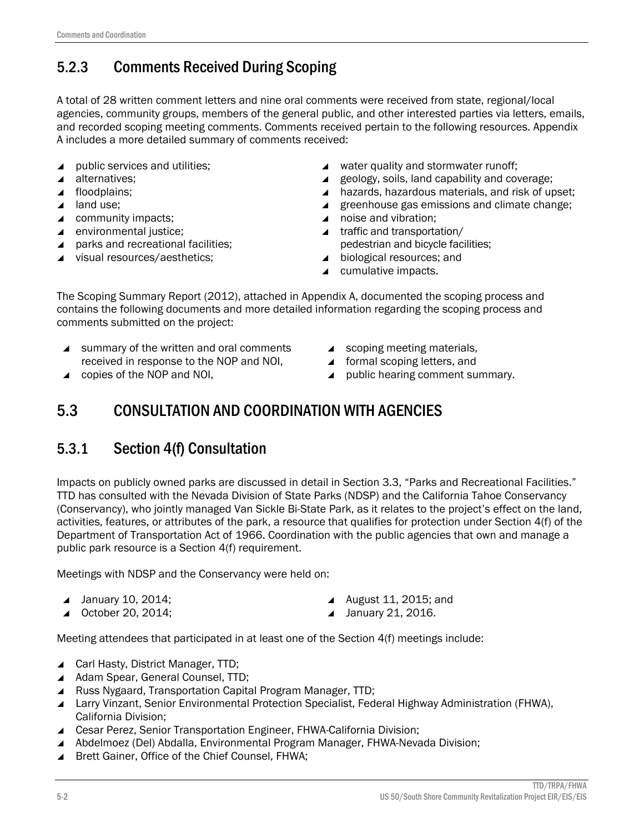### 5.2.3 Comments Received During Scoping

A total of 28 written comment letters and nine oral comments were received from state, regional/local agencies, community groups, members of the general public, and other interested parties via letters, emails, and recorded scoping meeting comments. Comments received pertain to the following resources. Appendix A includes a more detailed summary of comments received:

- ▲ public services and utilities;
- $\triangle$  alternatives;
- ▲ floodplains;
- **4** land use;
- ▲ community impacts;
- ▲ environmental justice;
- ▲ parks and recreational facilities;
- visual resources/aesthetics;
- ▲ water quality and stormwater runoff;
- ▲ geology, soils, land capability and coverage;
- ▲ hazards, hazardous materials, and risk of upset;
- $\blacktriangle$  greenhouse gas emissions and climate change;
- ▲ noise and vibration;
- ▲ traffic and transportation/ pedestrian and bicycle facilities;
- ▲ biological resources; and
- ▲ cumulative impacts.

The Scoping Summary Report (2012), attached in Appendix A, documented the scoping process and contains the following documents and more detailed information regarding the scoping process and comments submitted on the project:

- ▲ summary of the written and oral comments received in response to the NOP and NOI,
- ▲ copies of the NOP and NOI,
- scoping meeting materials,
- ▲ formal scoping letters, and
- ▲ public hearing comment summary.

### 5.3 CONSULTATION AND COORDINATION WITH AGENCIES

#### 5.3.1 Section 4(f) Consultation

Impacts on publicly owned parks are discussed in detail in Section 3.3, "Parks and Recreational Facilities." TTD has consulted with the Nevada Division of State Parks (NDSP) and the California Tahoe Conservancy (Conservancy), who jointly managed Van Sickle Bi-State Park, as it relates to the project's effect on the land, activities, features, or attributes of the park, a resource that qualifies for protection under Section 4(f) of the Department of Transportation Act of 1966. Coordination with the public agencies that own and manage a public park resource is a Section 4(f) requirement.

Meetings with NDSP and the Conservancy were held on:

- $\blacktriangle$  January 10, 2014;
- ▲ October 20, 2014;
- ▲ August 11, 2015; and
- ▲ January 21, 2016.

Meeting attendees that participated in at least one of the Section 4(f) meetings include:

- ▲ Carl Hasty, District Manager, TTD;
- ▲ Adam Spear, General Counsel, TTD;
- ▲ Russ Nygaard, Transportation Capital Program Manager, TTD;
- Larry Vinzant, Senior Environmental Protection Specialist, Federal Highway Administration (FHWA), California Division;
- ▲ Cesar Perez, Senior Transportation Engineer, FHWA-California Division;
- Abdelmoez (Del) Abdalla, Environmental Program Manager, FHWA-Nevada Division;
- ▲ Brett Gainer, Office of the Chief Counsel, FHWA;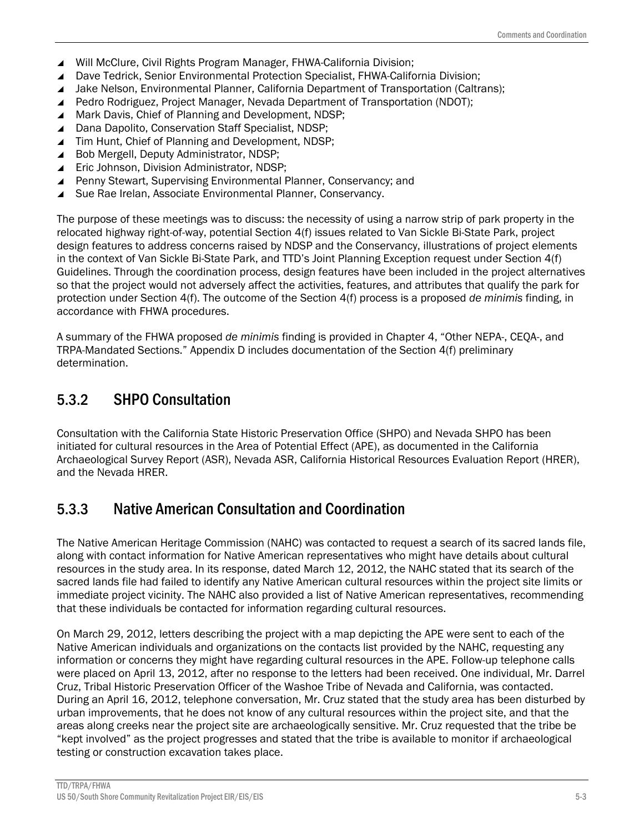- ▲ Will McClure, Civil Rights Program Manager, FHWA-California Division;
- ▲ Dave Tedrick, Senior Environmental Protection Specialist, FHWA-California Division;
- Jake Nelson, Environmental Planner, California Department of Transportation (Caltrans);
- Pedro Rodriguez, Project Manager, Nevada Department of Transportation (NDOT);
- ▲ Mark Davis, Chief of Planning and Development, NDSP;
- ▲ Dana Dapolito, Conservation Staff Specialist, NDSP;
- ▲ Tim Hunt, Chief of Planning and Development, NDSP;
- ▲ Bob Mergell, Deputy Administrator, NDSP;
- ▲ Eric Johnson, Division Administrator, NDSP;
- ▲ Penny Stewart, Supervising Environmental Planner, Conservancy; and
- ▲ Sue Rae Irelan, Associate Environmental Planner, Conservancy.

The purpose of these meetings was to discuss: the necessity of using a narrow strip of park property in the relocated highway right-of-way, potential Section 4(f) issues related to Van Sickle Bi-State Park, project design features to address concerns raised by NDSP and the Conservancy, illustrations of project elements in the context of Van Sickle Bi-State Park, and TTD's Joint Planning Exception request under Section 4(f) Guidelines. Through the coordination process, design features have been included in the project alternatives so that the project would not adversely affect the activities, features, and attributes that qualify the park for protection under Section 4(f). The outcome of the Section 4(f) process is a proposed *de minimis* finding, in accordance with FHWA procedures.

A summary of the FHWA proposed *de minimis* finding is provided in Chapter 4, "Other NEPA-, CEQA-, and TRPA-Mandated Sections." Appendix D includes documentation of the Section 4(f) preliminary determination.

#### 5.3.2 SHPO Consultation

Consultation with the California State Historic Preservation Office (SHPO) and Nevada SHPO has been initiated for cultural resources in the Area of Potential Effect (APE), as documented in the California Archaeological Survey Report (ASR), Nevada ASR, California Historical Resources Evaluation Report (HRER), and the Nevada HRER.

#### 5.3.3 Native American Consultation and Coordination

The Native American Heritage Commission (NAHC) was contacted to request a search of its sacred lands file, along with contact information for Native American representatives who might have details about cultural resources in the study area. In its response, dated March 12, 2012, the NAHC stated that its search of the sacred lands file had failed to identify any Native American cultural resources within the project site limits or immediate project vicinity. The NAHC also provided a list of Native American representatives, recommending that these individuals be contacted for information regarding cultural resources.

On March 29, 2012, letters describing the project with a map depicting the APE were sent to each of the Native American individuals and organizations on the contacts list provided by the NAHC, requesting any information or concerns they might have regarding cultural resources in the APE. Follow-up telephone calls were placed on April 13, 2012, after no response to the letters had been received. One individual, Mr. Darrel Cruz, Tribal Historic Preservation Officer of the Washoe Tribe of Nevada and California, was contacted. During an April 16, 2012, telephone conversation, Mr. Cruz stated that the study area has been disturbed by urban improvements, that he does not know of any cultural resources within the project site, and that the areas along creeks near the project site are archaeologically sensitive. Mr. Cruz requested that the tribe be "kept involved" as the project progresses and stated that the tribe is available to monitor if archaeological testing or construction excavation takes place.